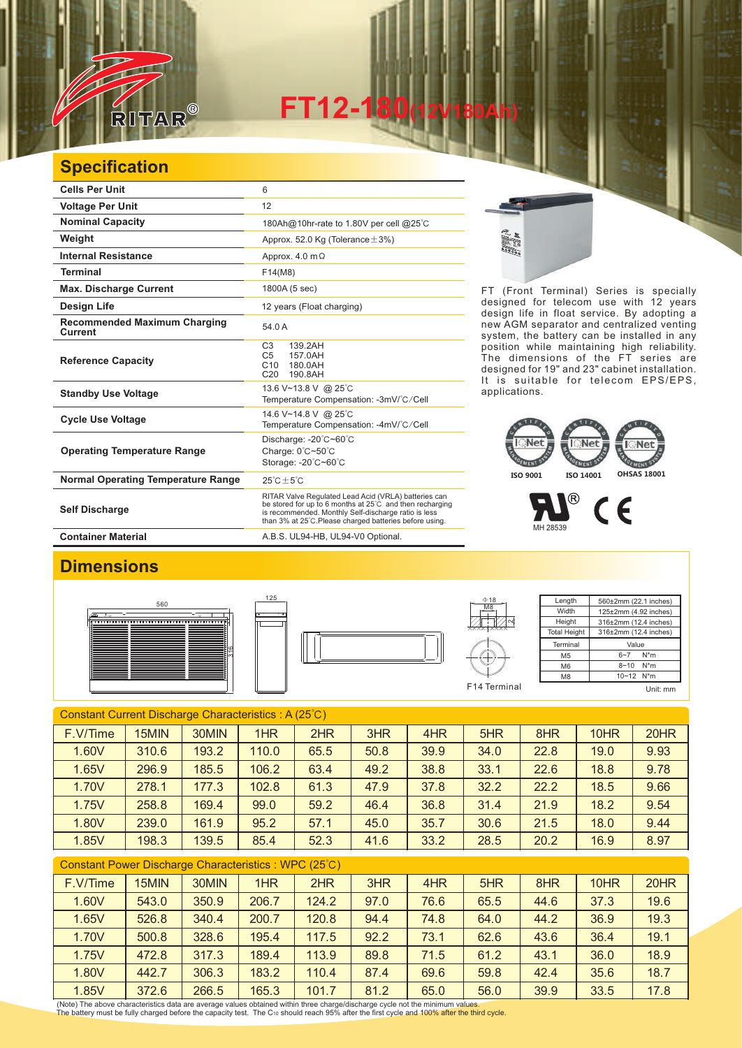

**FT12-180(12V180Ah)** 

## **Specification**

| <b>Cells Per Unit</b>                          | 6                                                                                                                                                                                                                                   |
|------------------------------------------------|-------------------------------------------------------------------------------------------------------------------------------------------------------------------------------------------------------------------------------------|
| <b>Voltage Per Unit</b>                        | 12                                                                                                                                                                                                                                  |
| <b>Nominal Capacity</b>                        | 180Ah@10hr-rate to 1.80V per cell @25°C                                                                                                                                                                                             |
| Weight                                         | Approx. 52.0 Kg (Tolerance $\pm$ 3%)                                                                                                                                                                                                |
| <b>Internal Resistance</b>                     | Approx. $4.0 \text{ m}\Omega$                                                                                                                                                                                                       |
| <b>Terminal</b>                                | F14(M8)                                                                                                                                                                                                                             |
| <b>Max. Discharge Current</b>                  | 1800A (5 sec)                                                                                                                                                                                                                       |
| Design Life                                    | 12 years (Float charging)                                                                                                                                                                                                           |
| <b>Recommended Maximum Charging</b><br>Current | 54.0 A                                                                                                                                                                                                                              |
| <b>Reference Capacity</b>                      | C <sub>3</sub><br>139.2AH<br>C <sub>5</sub><br>157.0AH<br>C10<br>180.0AH<br>C <sub>20</sub><br>190.8AH                                                                                                                              |
| <b>Standby Use Voltage</b>                     | 13.6 V~13.8 V @ 25°C<br>Temperature Compensation: -3mV/°C/Cell                                                                                                                                                                      |
| <b>Cycle Use Voltage</b>                       | 14.6 V~14.8 V @ 25°C<br>Temperature Compensation: -4mV/°C/Cell                                                                                                                                                                      |
| <b>Operating Temperature Range</b>             | Discharge: -20°C~60°C<br>Charge: 0°C~50°C<br>Storage: -20°C~60°C                                                                                                                                                                    |
| <b>Normal Operating Temperature Range</b>      | $25^{\circ}$ C + 5 $^{\circ}$ C                                                                                                                                                                                                     |
| <b>Self Discharge</b>                          | RITAR Valve Regulated Lead Acid (VRLA) batteries can<br>be stored for up to 6 months at 25°C and then recharging<br>is recommended. Monthly Self-discharge ratio is less<br>than 3% at 25°C. Please charged batteries before using. |
| <b>Container Material</b>                      | A.B.S. UL94-HB, UL94-V0 Optional.                                                                                                                                                                                                   |

125

E.

FT (Front Terminal) Series is specially designed for telecom use with 12 years design life in float service. By adopting a new AGM separator and centralized venting system, the battery can be installed in any position while maintaining high reliability. The dimensions of the FT series are designed for 19" and 23" cabinet installation. It is suitable for telecom EPS/EPS, applications.

## **ISO 9001 ISO 14001 OHSAS 18001**

 $^{\circledR}$  $\epsilon$ MH 28539

## **Dimensions**







| $\Phi$ 18      | Length              | 560±2mm (22.1 inches) |
|----------------|---------------------|-----------------------|
| M <sub>8</sub> | Width               | 125±2mm (4.92 inches) |
|                | Height              | 316±2mm (12.4 inches) |
|                | <b>Total Height</b> | 316±2mm (12.4 inches) |
|                | Terminal            | Value                 |
|                | M <sub>5</sub>      | $N^*m$<br>$6 - 7$     |
|                | M <sub>6</sub>      | $8 - 10$<br>$N^*m$    |
|                | M <sub>8</sub>      | 10~12 N*m             |
| F14 Terminal   |                     | mm                    |

Constant Current Discharge Characteristics : A (25℃) F.V/Time | 15MIN | 30MIN | 1HR | 2HR | 3HR | 4HR | 5HR | 8HR | 10HR | 20HR 1.60V | 310.6 | 193.2 | 110.0 | 65.5 | 50.8 | 39.9 | 34.0 | 22.8 | 19.0 | 9.93 1.65V | 296.9 | 185.5 | 106.2 | 63.4 | 49.2 | 38.8 | 33.1 | 22.6 | 18.8 | 9.78 1.70V | 278.1 | 177.3 | 102.8 | 61.3 | 47.9 | 37.8 | 32.2 | 22.2 | 18.5 | 9.66 1.75V | 258.8 | 169.4 | 99.0 | 59.2 | 46.4 | 36.8 | 31.4 | 21.9 | 18.2 | 9.54 1.80V 239.0 161.9 95.2 57.1 45.0 35.7 30.6 21.5 18.0 9.44 1.85V | 198.3 | 139.5 | 85.4 | 52.3 | 41.6 | 33.2 | 28.5 | 20.2 | 16.9 | 8.97

| Constant Power Discharge Characteristics : WPC (25°C) |       |       |       |       |      |      |      |      |      |      |
|-------------------------------------------------------|-------|-------|-------|-------|------|------|------|------|------|------|
| F.V/Time                                              | 15MIN | 30MIN | 1HR   | 2HR   | 3HR  | 4HR  | 5HR  | 8HR  | 10HR | 20HR |
| 1.60V                                                 | 543.0 | 350.9 | 206.7 | 124.2 | 97.0 | 76.6 | 65.5 | 44.6 | 37.3 | 19.6 |
| 1.65V                                                 | 526.8 | 340.4 | 200.7 | 120.8 | 94.4 | 74.8 | 64.0 | 44.2 | 36.9 | 19.3 |
| 1.70V                                                 | 500.8 | 328.6 | 195.4 | 117.5 | 92.2 | 73.1 | 62.6 | 43.6 | 36.4 | 19.1 |
| 1.75V                                                 | 472.8 | 317.3 | 189.4 | 113.9 | 89.8 | 71.5 | 61.2 | 43.1 | 36.0 | 18.9 |
| 1.80V                                                 | 442.7 | 306.3 | 183.2 | 110.4 | 87.4 | 69.6 | 59.8 | 42.4 | 35.6 | 18.7 |
| 1.85V                                                 | 372.6 | 266.5 | 165.3 | 101.7 | 81.2 | 65.0 | 56.0 | 39.9 | 33.5 | 17.8 |

(Note) The above characteristics data are average values obtained within three charge/discharge cycle not the minimum values.<br>The battery must be fully charged before the capacity test. The Cю should reach 95% after the f